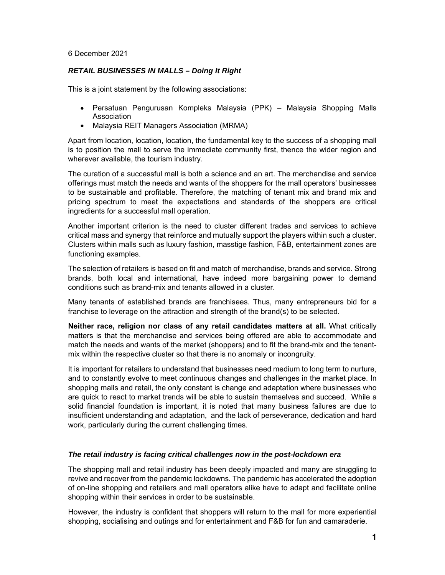## 6 December 2021

## *RETAIL BUSINESSES IN MALLS – Doing It Right*

This is a joint statement by the following associations:

- Persatuan Pengurusan Kompleks Malaysia (PPK) Malaysia Shopping Malls Association
- Malaysia REIT Managers Association (MRMA)

Apart from location, location, location, the fundamental key to the success of a shopping mall is to position the mall to serve the immediate community first, thence the wider region and wherever available, the tourism industry.

The curation of a successful mall is both a science and an art. The merchandise and service offerings must match the needs and wants of the shoppers for the mall operators' businesses to be sustainable and profitable. Therefore, the matching of tenant mix and brand mix and pricing spectrum to meet the expectations and standards of the shoppers are critical ingredients for a successful mall operation.

Another important criterion is the need to cluster different trades and services to achieve critical mass and synergy that reinforce and mutually support the players within such a cluster. Clusters within malls such as luxury fashion, masstige fashion, F&B, entertainment zones are functioning examples.

The selection of retailers is based on fit and match of merchandise, brands and service. Strong brands, both local and international, have indeed more bargaining power to demand conditions such as brand-mix and tenants allowed in a cluster.

Many tenants of established brands are franchisees. Thus, many entrepreneurs bid for a franchise to leverage on the attraction and strength of the brand(s) to be selected.

**Neither race, religion nor class of any retail candidates matters at all.** What critically matters is that the merchandise and services being offered are able to accommodate and match the needs and wants of the market (shoppers) and to fit the brand-mix and the tenantmix within the respective cluster so that there is no anomaly or incongruity.

It is important for retailers to understand that businesses need medium to long term to nurture, and to constantly evolve to meet continuous changes and challenges in the market place. In shopping malls and retail, the only constant is change and adaptation where businesses who are quick to react to market trends will be able to sustain themselves and succeed. While a solid financial foundation is important, it is noted that many business failures are due to insufficient understanding and adaptation, and the lack of perseverance, dedication and hard work, particularly during the current challenging times.

## *The retail industry is facing critical challenges now in the post-lockdown era*

The shopping mall and retail industry has been deeply impacted and many are struggling to revive and recover from the pandemic lockdowns. The pandemic has accelerated the adoption of on-line shopping and retailers and mall operators alike have to adapt and facilitate online shopping within their services in order to be sustainable.

However, the industry is confident that shoppers will return to the mall for more experiential shopping, socialising and outings and for entertainment and F&B for fun and camaraderie.